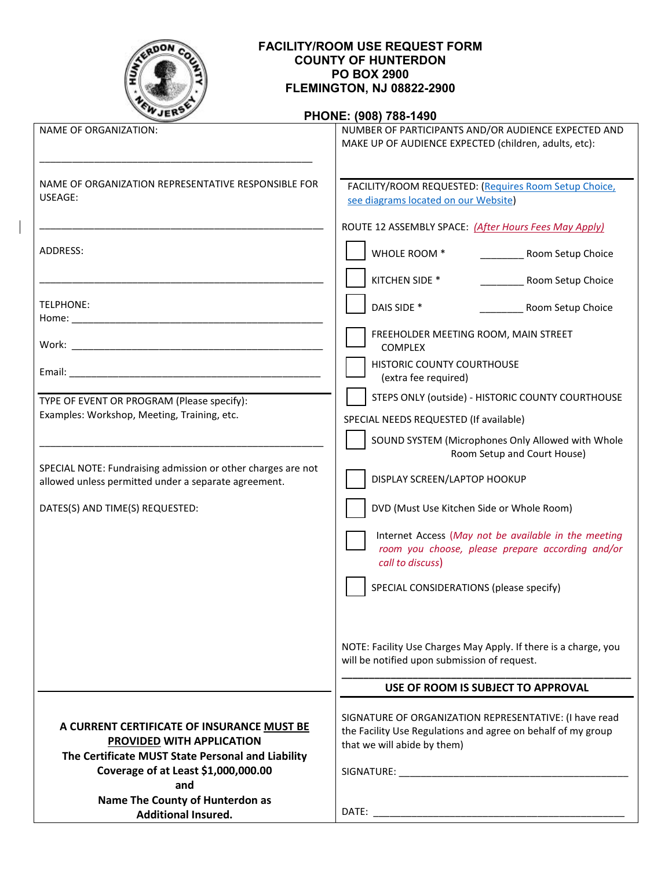

# **FACILITY/ROOM USE REQUEST FORM COUNTY OF HUNTERDON PO BOX 2900 FLEMINGTON, NJ 08822-2900**

## **PHONE: (908) 788-1490**

| <b>NAME OF ORGANIZATION:</b>                                                                                                                                        | NUMBER OF PARTICIPANTS AND/OR AUDIENCE EXPECTED AND<br>MAKE UP OF AUDIENCE EXPECTED (children, adults, etc):                                          |  |
|---------------------------------------------------------------------------------------------------------------------------------------------------------------------|-------------------------------------------------------------------------------------------------------------------------------------------------------|--|
|                                                                                                                                                                     |                                                                                                                                                       |  |
| NAME OF ORGANIZATION REPRESENTATIVE RESPONSIBLE FOR<br>USEAGE:                                                                                                      | FACILITY/ROOM REQUESTED: (Requires Room Setup Choice,<br>see diagrams located on our Website)                                                         |  |
|                                                                                                                                                                     | ROUTE 12 ASSEMBLY SPACE: (After Hours Fees May Apply)                                                                                                 |  |
| ADDRESS:                                                                                                                                                            | WHOLE ROOM *<br>Room Setup Choice                                                                                                                     |  |
|                                                                                                                                                                     | KITCHEN SIDE *<br>Room Setup Choice                                                                                                                   |  |
| TELPHONE:                                                                                                                                                           | DAIS SIDE *<br>Room Setup Choice                                                                                                                      |  |
|                                                                                                                                                                     | FREEHOLDER MEETING ROOM, MAIN STREET<br><b>COMPLEX</b>                                                                                                |  |
|                                                                                                                                                                     | <b>HISTORIC COUNTY COURTHOUSE</b><br>(extra fee required)                                                                                             |  |
| TYPE OF EVENT OR PROGRAM (Please specify):                                                                                                                          | STEPS ONLY (outside) - HISTORIC COUNTY COURTHOUSE                                                                                                     |  |
| Examples: Workshop, Meeting, Training, etc.                                                                                                                         | SPECIAL NEEDS REQUESTED (If available)                                                                                                                |  |
|                                                                                                                                                                     | SOUND SYSTEM (Microphones Only Allowed with Whole<br>Room Setup and Court House)                                                                      |  |
| SPECIAL NOTE: Fundraising admission or other charges are not<br>allowed unless permitted under a separate agreement.                                                | DISPLAY SCREEN/LAPTOP HOOKUP                                                                                                                          |  |
| DATES(S) AND TIME(S) REQUESTED:                                                                                                                                     | DVD (Must Use Kitchen Side or Whole Room)                                                                                                             |  |
|                                                                                                                                                                     | Internet Access (May not be available in the meeting<br>room you choose, please prepare according and/or<br>call to discuss)                          |  |
|                                                                                                                                                                     | SPECIAL CONSIDERATIONS (please specify)                                                                                                               |  |
|                                                                                                                                                                     | NOTE: Facility Use Charges May Apply. If there is a charge, you<br>will be notified upon submission of request.                                       |  |
|                                                                                                                                                                     | USE OF ROOM IS SUBJECT TO APPROVAL                                                                                                                    |  |
| A CURRENT CERTIFICATE OF INSURANCE MUST BE<br>PROVIDED WITH APPLICATION<br>The Certificate MUST State Personal and Liability<br>Coverage of at Least \$1,000,000.00 | SIGNATURE OF ORGANIZATION REPRESENTATIVE: (I have read<br>the Facility Use Regulations and agree on behalf of my group<br>that we will abide by them) |  |
| and<br>Name The County of Hunterdon as<br><b>Additional Insured.</b>                                                                                                |                                                                                                                                                       |  |